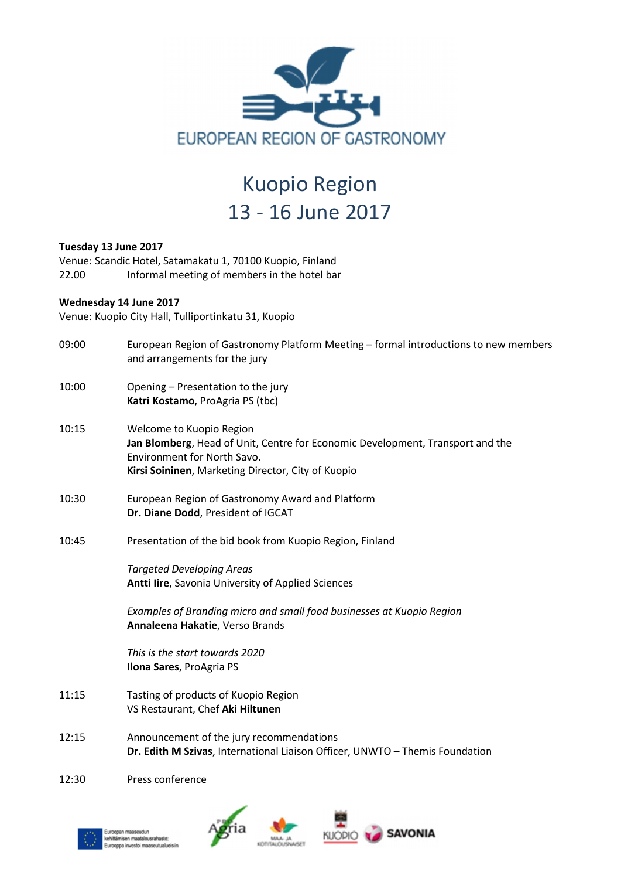

# Kuopio Region 13 - 16 June 2017

## Tuesday 13 June 2017

Venue: Scandic Hotel, Satamakatu 1, 70100 Kuopio, Finland 22.00 Informal meeting of members in the hotel bar

## Wednesday 14 June 2017

Venue: Kuopio City Hall, Tulliportinkatu 31, Kuopio

- 09:00 European Region of Gastronomy Platform Meeting formal introductions to new members and arrangements for the jury 10:00 Opening – Presentation to the jury Katri Kostamo, ProAgria PS (tbc) 10:15 Welcome to Kuopio Region Jan Blomberg, Head of Unit, Centre for Economic Development, Transport and the Environment for North Savo. Kirsi Soininen, Marketing Director, City of Kuopio 10:30 European Region of Gastronomy Award and Platform Dr. Diane Dodd, President of IGCAT 10:45 Presentation of the bid book from Kuopio Region, Finland Targeted Developing Areas Antti Iire, Savonia University of Applied Sciences Examples of Branding micro and small food businesses at Kuopio Region Annaleena Hakatie, Verso Brands This is the start towards 2020 Ilona Sares, ProAgria PS 11:15 Tasting of products of Kuopio Region VS Restaurant, Chef Aki Hiltunen 12:15 Announcement of the jury recommendations Dr. Edith M Szivas, International Liaison Officer, UNWTO – Themis Foundation
- 12:30 Press conference



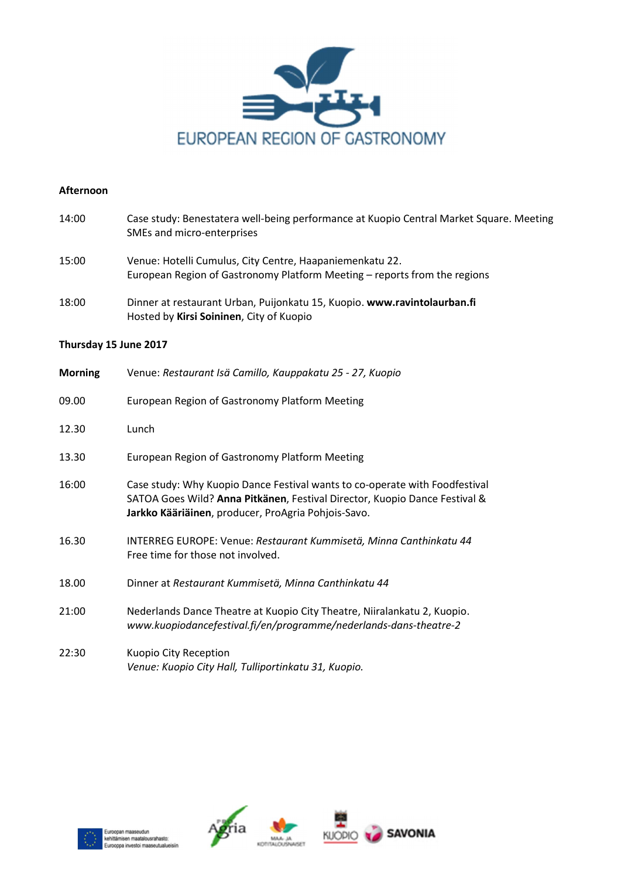

## Afternoon

| 14:00 | Case study: Benestatera well-being performance at Kuopio Central Market Square. Meeting<br>SMEs and micro-enterprises                 |
|-------|---------------------------------------------------------------------------------------------------------------------------------------|
| 15:00 | Venue: Hotelli Cumulus, City Centre, Haapaniemenkatu 22.<br>European Region of Gastronomy Platform Meeting – reports from the regions |
| 18:00 | Dinner at restaurant Urban, Puijonkatu 15, Kuopio. www.ravintolaurban.fi<br>Hosted by Kirsi Soininen, City of Kuopio                  |

## Thursday 15 June 2017

| <b>Morning</b> | Venue: Restaurant Isä Camillo, Kauppakatu 25 - 27, Kuopio                                                                                                                                                        |
|----------------|------------------------------------------------------------------------------------------------------------------------------------------------------------------------------------------------------------------|
| 09.00          | European Region of Gastronomy Platform Meeting                                                                                                                                                                   |
| 12.30          | Lunch                                                                                                                                                                                                            |
| 13.30          | European Region of Gastronomy Platform Meeting                                                                                                                                                                   |
| 16:00          | Case study: Why Kuopio Dance Festival wants to co-operate with Foodfestival<br>SATOA Goes Wild? Anna Pitkänen, Festival Director, Kuopio Dance Festival &<br>Jarkko Kääriäinen, producer, ProAgria Pohjois-Savo. |
| 16.30          | INTERREG EUROPE: Venue: Restaurant Kummisetä, Minna Canthinkatu 44<br>Free time for those not involved.                                                                                                          |
| 18.00          | Dinner at Restaurant Kummisetä, Minna Canthinkatu 44                                                                                                                                                             |
| 21:00          | Nederlands Dance Theatre at Kuopio City Theatre, Niiralankatu 2, Kuopio.<br>www.kuopiodancefestival.fi/en/programme/nederlands-dans-theatre-2                                                                    |
| 22:30          | Kuopio City Reception<br>Venue: Kuopio City Hall, Tulliportinkatu 31, Kuopio.                                                                                                                                    |